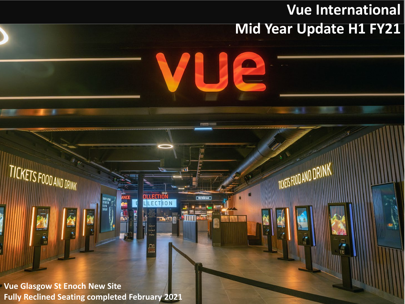## **Vue International Mid Year Update H1 FY21**

**TICKETS FOOD AND DRIN** 

TICKETS FOOD AND DRINK

 $\mathbf{r}$ 

**Fully Reclined Seating completed February 2021 Vue Glasgow St Enoch New Site**

**OLLECTION** 

**PREVIEW BAR**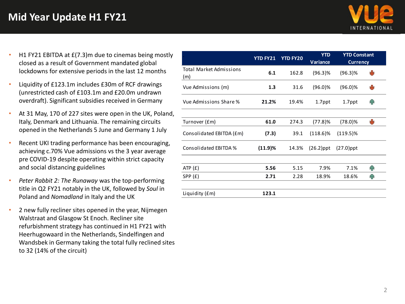## **Mid Year Update H1 FY21**



- H1 FY21 EBITDA at £(7.3)m due to cinemas being mostly closed as a result of Government mandated global lockdowns for extensive periods in the last 12 months
- Liquidity of £123.1m includes £30m of RCF drawings (unrestricted cash of £103.1m and £20.0m undrawn overdraft). Significant subsidies received in Germany
- At 31 May, 170 of 227 sites were open in the UK, Poland, Italy, Denmark and Lithuania. The remaining circuits opened in the Netherlands 5 June and Germany 1 July
- Recent UKI trading performance has been encouraging, achieving c.70% Vue admissions vs the 3 year average pre COVID-19 despite operating within strict capacity and social distancing guidelines
- *Peter Rabbit 2: The Runaway* was the top-performing title in Q2 FY21 notably in the UK, followed by *Soul* in Poland and *Nomadland* in Italy and the UK
- 2 new fully recliner sites opened in the year, Nijmegen Walstraat and Glasgow St Enoch. Recliner site refurbishment strategy has continued in H1 FY21 with Heerhugowaard in the Netherlands, Sindelfingen and Wandsbek in Germany taking the total fully reclined sites to 32 (14% of the circuit)

|                                       | <b>YTD FY21</b> | <b>YTD FY20</b> | <b>YTD</b><br><b>Variance</b> | <b>YTD Constant</b><br><b>Currency</b> |    |
|---------------------------------------|-----------------|-----------------|-------------------------------|----------------------------------------|----|
| <b>Total Market Admissions</b><br>(m) | 6.1             | 162.8           | $(96.3)$ %                    | $(96.3)$ %                             | NЫ |
| Vue Admissions (m)                    | 1.3             | 31.6            | $(96.0)\%$                    | $(96.0)\%$                             | tЫ |
| Vue Admissions Share %                | 21.2%           | 19.4%           | 1.7ppt                        | 1.7ppt                                 | ИN |
| Turnover (£m)                         | 61.0            | 274.3           | (77.8)%                       | $(78.0)\%$                             | tЫ |
| Consolidated EBITDA (£m)              | (7.3)           | 39.1            | $(118.6)\%$                   | $(119.5)\%$                            |    |
| Consolidated EBITDA %                 | (11.9)%         | 14.3%           | $(26.2)$ ppt                  | $(27.0)$ ppt                           |    |
| ATP(f)                                | 5.56            | 5.15            | 7.9%                          | 7.1%                                   | ብ  |
| SPP(E)                                | 2.71            | 2.28            | 18.9%                         | 18.6%                                  | ИN |
| Liquidity (£m)                        | 123.1           |                 |                               |                                        |    |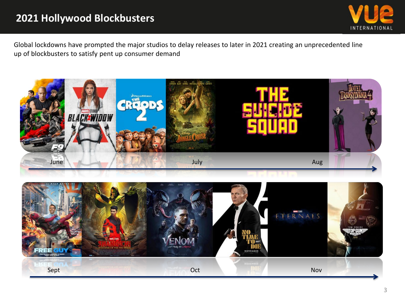## **2021 Hollywood Blockbusters**



Global lockdowns have prompted the major studios to delay releases to later in 2021 creating an unprecedented line up of blockbusters to satisfy pent up consumer demand